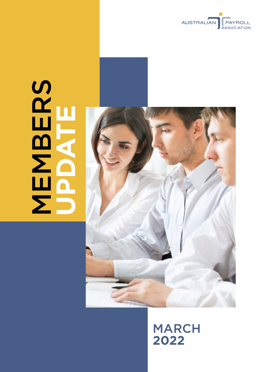

# **MBERS UPDATE**



# MARCH **2022**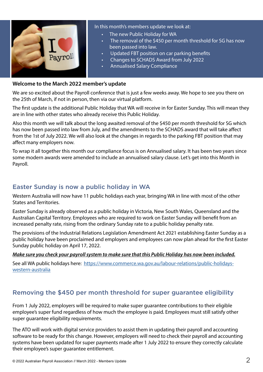

#### In this month's members update we look at:

- The new Public Holiday for WA
- The removal of the \$450 per month threshold for SG has now been passed into law.
- Updated FBT position on car parking benefits
- Changes to SCHADS Award from July 2022
- Annualised Salary Compliance

#### **Welcome to the March 2022 member's update**

We are so excited about the Payroll conference that is just a few weeks away. We hope to see you there on the 25th of March, if not in person, then via our virtual platform.

The first update is the additional Public Holiday that WA will receive in for Easter Sunday. This will mean they are in line with other states who already receive this Public Holiday.

Also this month we will talk about the long awaited removal of the \$450 per month threshold for SG which has now been passed into law from July, and the amendments to the SCHADS award that will take affect from the 1st of July 2022. We will also look at the changes in regards to the parking FBT position that may affect many employers now.

To wrap it all together this month our compliance focus is on Annualised salary. It has been two years since some modern awards were amended to include an annualised salary clause. Let's get into this Month in Payroll.

# Easter Sunday is now a public holiday in WA

Western Australia will now have 11 public holidays each year, bringing WA in line with most of the other States and Territories.

Easter Sunday is already observed as a public holiday in Victoria, New South Wales, Queensland and the Australian Capital Territory. Employees who are required to work on Easter Sunday will benefit from an increased penalty rate, rising from the ordinary Sunday rate to a public holiday penalty rate.

The provisions of the Industrial Relations Legislation Amendment Act 2021 establishing Easter Sunday as a public holiday have been proclaimed and employers and employees can now plan ahead for the first Easter Sunday public holiday on April 17, 2022.

#### *Make sure you check your payroll system to make sure that this Public Holiday has now been included.*

See all WA public holidays here: [https://www.commerce.wa.gov.au/labour-relations/public-holidays](https://www.commerce.wa.gov.au/labour-relations/public-holidays-western-australia)[western-australia](https://www.commerce.wa.gov.au/labour-relations/public-holidays-western-australia)

# Removing the \$450 per month threshold for super guarantee eligibility

From 1 July 2022, employers will be required to make super guarantee contributions to their eligible employee's super fund regardless of how much the employee is paid. Employees must still satisfy other super guarantee eligibility requirements.

The ATO will work with digital service providers to assist them in updating their payroll and accounting software to be ready for this change. However, employers will need to check their payroll and accounting systems have been updated for super payments made after 1 July 2022 to ensure they correctly calculate their employee's super guarantee entitlement.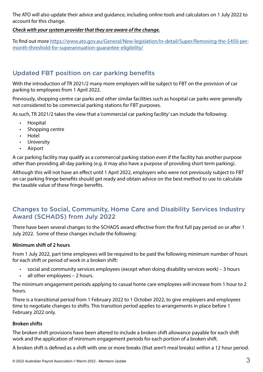The ATO will also update their advice and guidance, including online tools and calculators on 1 July 2022 to account for this change.

#### *Check with your system provider that they are aware of the change.*

To find out more [https://www.ato.gov.au/General/New-legislation/In-detail/Super/Removing-the-\\$450-per](https://www.ato.gov.au/General/New-legislation/In-detail/Super/Removing-the-$450-per-month-threshold-for-superannuation-guarantee-eligibility/)[month-threshold-for-superannuation-guarantee-eligibility/](https://www.ato.gov.au/General/New-legislation/In-detail/Super/Removing-the-$450-per-month-threshold-for-superannuation-guarantee-eligibility/)

# Updated FBT position on car parking benefits

With the introduction of TR 2021/2 many more employers will be subject to FBT on the provision of car parking to employees from 1 April 2022.

Previously, shopping centre car parks and other similar facilities such as hospital car parks were generally not considered to be commercial parking stations for FBT purposes.

As such, TR 2021/2 takes the view that a 'commercial car parking facility' can include the following:

- Hospital
- Shopping centre
- Hotel
- University
- Airport

A car parking facility may qualify as a commercial parking station even if the facility has another purpose other than providing all-day parking (e.g. it may also have a purpose of providing short term parking).

Although this will not have an effect until 1 April 2022, employers who were not previously subject to FBT on car parking fringe benefits should get ready and obtain advice on the best method to use to calculate the taxable value of these fringe benefits.

# Changes to Social, Community, Home Care and Disability Services Industry Award (SCHADS) from July 2022

There have been several changes to the SCHADS award effective from the first full pay period on or after 1 July 2022. Some of these changes include the following:

#### **Minimum shift of 2 hours**

From 1 July 2022, part time employees will be required to be paid the following minimum number of hours for each shift or period of work in a broken shift:

- social and community services employees (except when doing disability services work) 3 hours
- all other employees 2 hours.

The minimum engagement periods applying to casual home care employees will increase from 1 hour to 2 hours.

There is a transitional period from 1 February 2022 to 1 October 2022, to give employers and employees time to negotiate changes to shifts. This transition period applies to arrangements in place before 1 February 2022 only.

#### **Broken shifts**

The broken shift provisions have been altered to include a broken shift allowance payable for each shift work and the application of minimum engagement periods for each portion of a broken shift.

A broken shift is defined as a shift with one or more breaks (that aren't meal breaks) within a 12 hour period.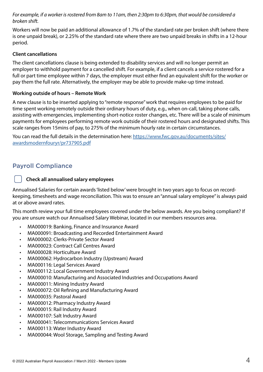*For example, if a worker is rostered from 8am to 11am, then 2:30pm to 6:30pm, that would be considered a broken shift.* 

Workers will now be paid an additional allowance of 1.7% of the standard rate per broken shift (where there is one unpaid break), or 2.25% of the standard rate where there are two unpaid breaks in shifts in a 12-hour period.

#### **Client cancellations**

The client cancellations clause is being extended to disability services and will no longer permit an employer to withhold payment for a cancelled shift. For example, if a client cancels a service rostered for a full or part time employee within 7 days, the employer must either find an equivalent shift for the worker or pay them the full rate. Alternatively, the employer may be able to provide make-up time instead.

#### **Working outside of hours – Remote Work**

A new clause is to be inserted applying to "remote response" work that requires employees to be paid for time spent working remotely outside their ordinary hours of duty, e.g., when on-call, taking phone calls, assisting with emergencies, implementing short-notice roster changes, etc. There will be a scale of minimum payments for employees performing remote work outside of their rostered hours and designated shifts. This scale ranges from 15mins of pay, to 275% of the minimum hourly rate in certain circumstances.

You can read the full details in the determination here: [https://www.fwc.gov.au/documents/sites/](https://www.fwc.gov.au/documents/sites/awardsmodernfouryr/pr737905.pdf
) [awardsmodernfouryr/pr737905.pdf](https://www.fwc.gov.au/documents/sites/awardsmodernfouryr/pr737905.pdf
)

# Payroll Compliance

#### **Check all annualised salary employees**

Annualised Salaries for certain awards 'listed below' were brought in two years ago to focus on recordkeeping, timesheets and wage reconciliation. This was to ensure an "annual salary employee" is always paid at or above award rates.

This month review your full time employees covered under the below awards. Are you being compliant? If you are unsure watch our Annualised Salary Webinar, located in our members resources area.

- MA000019: Banking, Finance and Insurance Award
- MA000091: Broadcasting and Recorded Entertainment Award
- MA000002: Clerks-Private Sector Award
- MA000023: Contract Call Centres Award
- MA000028: Horticulture Award
- MA000062: Hydrocarbon Industry (Upstream) Award
- MA000116: Legal Services Award
- MA000112: Local Government Industry Award
- MA000010: Manufacturing and Associated Industries and Occupations Award
- MA000011: Mining Industry Award
- MA000072: Oil Refining and Manufacturing Award
- MA000035: Pastoral Award
- MA000012: Pharmacy Industry Award
- MA000015: Rail Industry Award
- MA000107: Salt Industry Award
- MA000041: Telecommunications Services Award
- MA000113: Water Industry Award
- MA000044: Wool Storage, Sampling and Testing Award